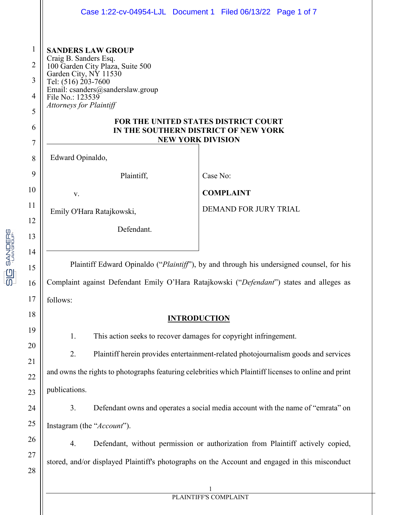|                                                                      |                                                                                                                                                                                                                                                                                                                                             | Case 1:22-cv-04954-LJL Document 1 Filed 06/13/22 Page 1 of 7                    |  |
|----------------------------------------------------------------------|---------------------------------------------------------------------------------------------------------------------------------------------------------------------------------------------------------------------------------------------------------------------------------------------------------------------------------------------|---------------------------------------------------------------------------------|--|
| $\mathbf{1}$<br>$\overline{2}$<br>3<br>$\overline{4}$<br>5<br>6<br>7 | <b>SANDERS LAW GROUP</b><br>Craig B. Sanders Esq.<br>100 Garden City Plaza, Suite 500<br>Garden City, NY 11530<br>Tel: (516) 203-7600<br>Email: csanders@sanderslaw.group<br>File No.: 123539<br><b>Attorneys for Plaintiff</b><br>FOR THE UNITED STATES DISTRICT COURT<br>IN THE SOUTHERN DISTRICT OF NEW YORK<br><b>NEW YORK DIVISION</b> |                                                                                 |  |
| 8                                                                    | Edward Opinaldo,                                                                                                                                                                                                                                                                                                                            |                                                                                 |  |
| 9                                                                    | Plaintiff,                                                                                                                                                                                                                                                                                                                                  | Case No:                                                                        |  |
| 10                                                                   | V.                                                                                                                                                                                                                                                                                                                                          | <b>COMPLAINT</b>                                                                |  |
| 11                                                                   | Emily O'Hara Ratajkowski,                                                                                                                                                                                                                                                                                                                   | DEMAND FOR JURY TRIAL                                                           |  |
| 12<br>13                                                             | Defendant.                                                                                                                                                                                                                                                                                                                                  |                                                                                 |  |
| 14<br>15<br>16                                                       | Plaintiff Edward Opinaldo ("Plaintiff"), by and through his undersigned counsel, for his<br>Complaint against Defendant Emily O'Hara Ratajkowski ("Defendant") states and alleges as                                                                                                                                                        |                                                                                 |  |
| 17                                                                   | follows:                                                                                                                                                                                                                                                                                                                                    |                                                                                 |  |
| 18                                                                   | <b>INTRODUCTION</b>                                                                                                                                                                                                                                                                                                                         |                                                                                 |  |
| 19                                                                   | 1.<br>This action seeks to recover damages for copyright infringement.                                                                                                                                                                                                                                                                      |                                                                                 |  |
| 20                                                                   | 2.<br>Plaintiff herein provides entertainment-related photojournalism goods and services                                                                                                                                                                                                                                                    |                                                                                 |  |
| 21                                                                   | and owns the rights to photographs featuring celebrities which Plaintiff licenses to online and print                                                                                                                                                                                                                                       |                                                                                 |  |
| 22<br>23                                                             | publications.                                                                                                                                                                                                                                                                                                                               |                                                                                 |  |
| 24                                                                   | 3.                                                                                                                                                                                                                                                                                                                                          | Defendant owns and operates a social media account with the name of "emrata" on |  |
| 25                                                                   | Instagram (the "Account").                                                                                                                                                                                                                                                                                                                  |                                                                                 |  |
| 26                                                                   | 4.                                                                                                                                                                                                                                                                                                                                          | Defendant, without permission or authorization from Plaintiff actively copied,  |  |
| 27                                                                   | stored, and/or displayed Plaintiff's photographs on the Account and engaged in this misconduct                                                                                                                                                                                                                                              |                                                                                 |  |
| 28                                                                   |                                                                                                                                                                                                                                                                                                                                             |                                                                                 |  |
|                                                                      |                                                                                                                                                                                                                                                                                                                                             | 1                                                                               |  |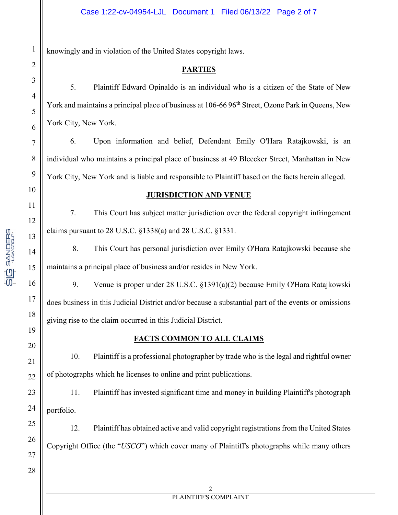knowingly and in violation of the United States copyright laws.

# **PARTIES**

5. Plaintiff Edward Opinaldo is an individual who is a citizen of the State of New York and maintains a principal place of business at 106-66 96<sup>th</sup> Street, Ozone Park in Queens, New York City, New York.

6. Upon information and belief, Defendant Emily O'Hara Ratajkowski, is an individual who maintains a principal place of business at 49 Bleecker Street, Manhattan in New York City, New York and is liable and responsible to Plaintiff based on the facts herein alleged.

# **JURISDICTION AND VENUE**

7. This Court has subject matter jurisdiction over the federal copyright infringement claims pursuant to 28 U.S.C. §1338(a) and 28 U.S.C. §1331.

8. This Court has personal jurisdiction over Emily O'Hara Ratajkowski because she maintains a principal place of business and/or resides in New York.

9. Venue is proper under 28 U.S.C. §1391(a)(2) because Emily O'Hara Ratajkowski does business in this Judicial District and/or because a substantial part of the events or omissions giving rise to the claim occurred in this Judicial District.

# **FACTS COMMON TO ALL CLAIMS**

10. Plaintiff is a professional photographer by trade who is the legal and rightful owner of photographs which he licenses to online and print publications.

11. Plaintiff has invested significant time and money in building Plaintiff's photograph portfolio.

12. Plaintiff has obtained active and valid copyright registrations from the United States Copyright Office (the "*USCO*") which cover many of Plaintiff's photographs while many others

**SANDERS**<br>PANGROUP

<u>91</u>

25

26

27

28

1

2

3

4

5

6

7

8

9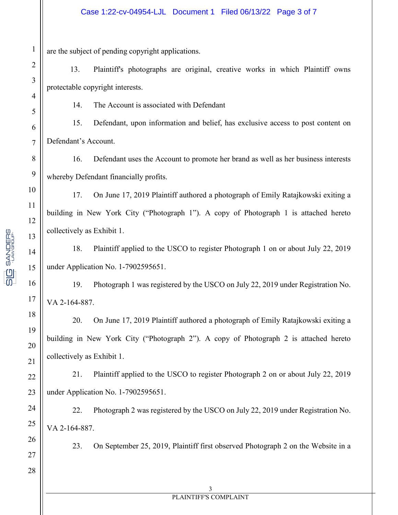are the subject of pending copyright applications.

13. Plaintiff's photographs are original, creative works in which Plaintiff owns protectable copyright interests.

14. The Account is associated with Defendant

15. Defendant, upon information and belief, has exclusive access to post content on Defendant's Account.

16. Defendant uses the Account to promote her brand as well as her business interests whereby Defendant financially profits.

17. On June 17, 2019 Plaintiff authored a photograph of Emily Ratajkowski exiting a building in New York City ("Photograph 1"). A copy of Photograph 1 is attached hereto collectively as Exhibit 1.

18. Plaintiff applied to the USCO to register Photograph 1 on or about July 22, 2019 under Application No. 1-7902595651.

19. Photograph 1 was registered by the USCO on July 22, 2019 under Registration No. VA 2-164-887.

20. On June 17, 2019 Plaintiff authored a photograph of Emily Ratajkowski exiting a building in New York City ("Photograph 2"). A copy of Photograph 2 is attached hereto collectively as Exhibit 1.

21. Plaintiff applied to the USCO to register Photograph 2 on or about July 22, 2019 under Application No. 1-7902595651.

22. Photograph 2 was registered by the USCO on July 22, 2019 under Registration No. VA 2-164-887.

23. On September 25, 2019, Plaintiff first observed Photograph 2 on the Website in a

**SANDERS** 

<u>91</u>

27

28

1

2

3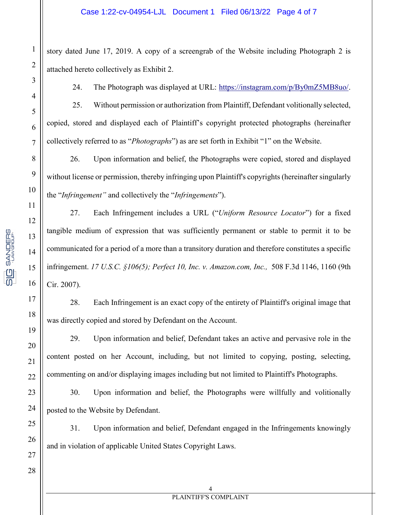story dated June 17, 2019. A copy of a screengrab of the Website including Photograph 2 is attached hereto collectively as Exhibit 2.

24. The Photograph was displayed at URL: https://instagram.com/p/By0mZ5MB8uo/.

25. Without permission or authorization from Plaintiff, Defendant volitionally selected, copied, stored and displayed each of Plaintiff's copyright protected photographs (hereinafter collectively referred to as "*Photographs*") as are set forth in Exhibit "1" on the Website.

26. Upon information and belief, the Photographs were copied, stored and displayed without license or permission, thereby infringing upon Plaintiff's copyrights (hereinafter singularly the "*Infringement"* and collectively the "*Infringements*").

27. Each Infringement includes a URL ("*Uniform Resource Locator*") for a fixed tangible medium of expression that was sufficiently permanent or stable to permit it to be communicated for a period of a more than a transitory duration and therefore constitutes a specific infringement. *17 U.S.C. §106(5); Perfect 10, Inc. v. Amazon.com, Inc.,* 508 F.3d 1146, 1160 (9th Cir. 2007).

28. Each Infringement is an exact copy of the entirety of Plaintiff's original image that was directly copied and stored by Defendant on the Account.

29. Upon information and belief, Defendant takes an active and pervasive role in the content posted on her Account, including, but not limited to copying, posting, selecting, commenting on and/or displaying images including but not limited to Plaintiff's Photographs.

30. Upon information and belief, the Photographs were willfully and volitionally posted to the Website by Defendant.

31. Upon information and belief, Defendant engaged in the Infringements knowingly and in violation of applicable United States Copyright Laws.

**SANDERS**<br>PANGROUP

<u>91</u>

26

27

28

1

2

3

4

5

6

7

8

9

4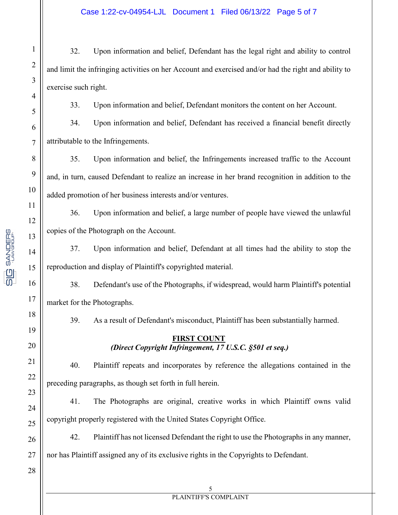32. Upon information and belief, Defendant has the legal right and ability to control and limit the infringing activities on her Account and exercised and/or had the right and ability to exercise such right.

33. Upon information and belief, Defendant monitors the content on her Account.

34. Upon information and belief, Defendant has received a financial benefit directly attributable to the Infringements.

35. Upon information and belief, the Infringements increased traffic to the Account and, in turn, caused Defendant to realize an increase in her brand recognition in addition to the added promotion of her business interests and/or ventures.

36. Upon information and belief, a large number of people have viewed the unlawful copies of the Photograph on the Account.

37. Upon information and belief, Defendant at all times had the ability to stop the reproduction and display of Plaintiff's copyrighted material.

38. Defendant's use of the Photographs, if widespread, would harm Plaintiff's potential market for the Photographs.

39. As a result of Defendant's misconduct, Plaintiff has been substantially harmed.

# **FIRST COUNT**  *(Direct Copyright Infringement, 17 U.S.C. §501 et seq.)*

40. Plaintiff repeats and incorporates by reference the allegations contained in the preceding paragraphs, as though set forth in full herein.

41. The Photographs are original, creative works in which Plaintiff owns valid copyright properly registered with the United States Copyright Office.

42. Plaintiff has not licensed Defendant the right to use the Photographs in any manner, nor has Plaintiff assigned any of its exclusive rights in the Copyrights to Defendant.

**SIC** SANDERS

1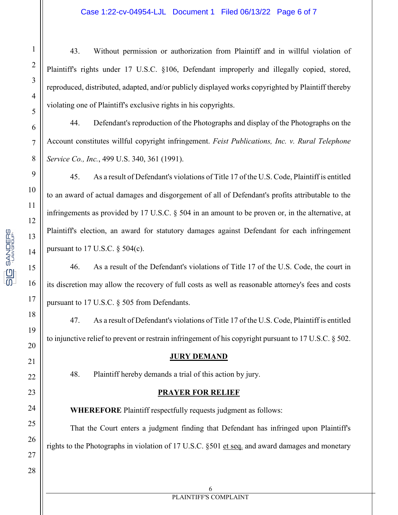#### Case 1:22-cv-04954-LJL Document 1 Filed 06/13/22 Page 6 of 7

43. Without permission or authorization from Plaintiff and in willful violation of Plaintiff's rights under 17 U.S.C. §106, Defendant improperly and illegally copied, stored, reproduced, distributed, adapted, and/or publicly displayed works copyrighted by Plaintiff thereby violating one of Plaintiff's exclusive rights in his copyrights.

44. Defendant's reproduction of the Photographs and display of the Photographs on the Account constitutes willful copyright infringement. *Feist Publications, Inc. v. Rural Telephone Service Co., Inc.*, 499 U.S. 340, 361 (1991).

45. As a result of Defendant's violations of Title 17 of the U.S. Code, Plaintiff is entitled to an award of actual damages and disgorgement of all of Defendant's profits attributable to the infringements as provided by 17 U.S.C. § 504 in an amount to be proven or, in the alternative, at Plaintiff's election, an award for statutory damages against Defendant for each infringement pursuant to 17 U.S.C.  $\S$  504(c).

46. As a result of the Defendant's violations of Title 17 of the U.S. Code, the court in its discretion may allow the recovery of full costs as well as reasonable attorney's fees and costs pursuant to 17 U.S.C. § 505 from Defendants.

47. As a result of Defendant's violations of Title 17 of the U.S. Code, Plaintiff is entitled to injunctive relief to prevent or restrain infringement of his copyright pursuant to 17 U.S.C. § 502.

#### **JURY DEMAND**

48. Plaintiff hereby demands a trial of this action by jury.

### **PRAYER FOR RELIEF**

**WHEREFORE** Plaintiff respectfully requests judgment as follows:

That the Court enters a judgment finding that Defendant has infringed upon Plaintiff's rights to the Photographs in violation of 17 U.S.C. §501 et seq. and award damages and monetary

**SANDERS**